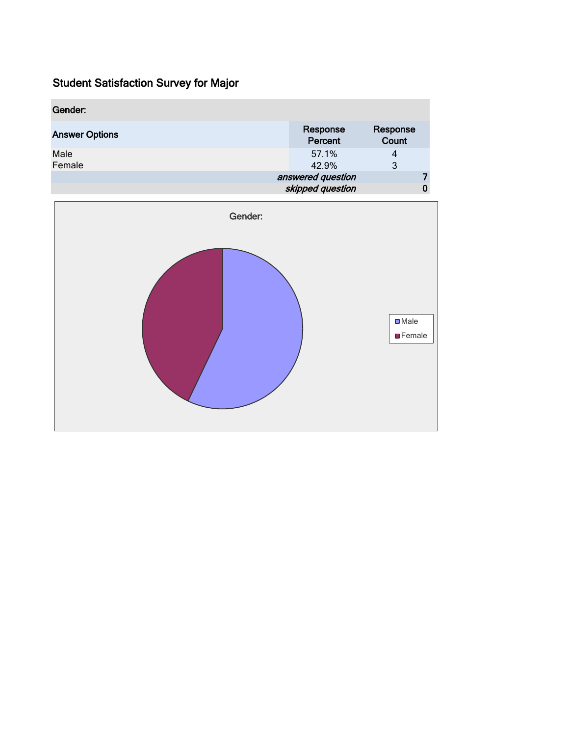| Gender:               |                     |                   |
|-----------------------|---------------------|-------------------|
| <b>Answer Options</b> | Response<br>Percent | Response<br>Count |
| Male                  | 57.1%               | 4                 |
| Female                | 42.9%               | 3                 |
|                       | answered question   |                   |
|                       | skipped question    | 0                 |

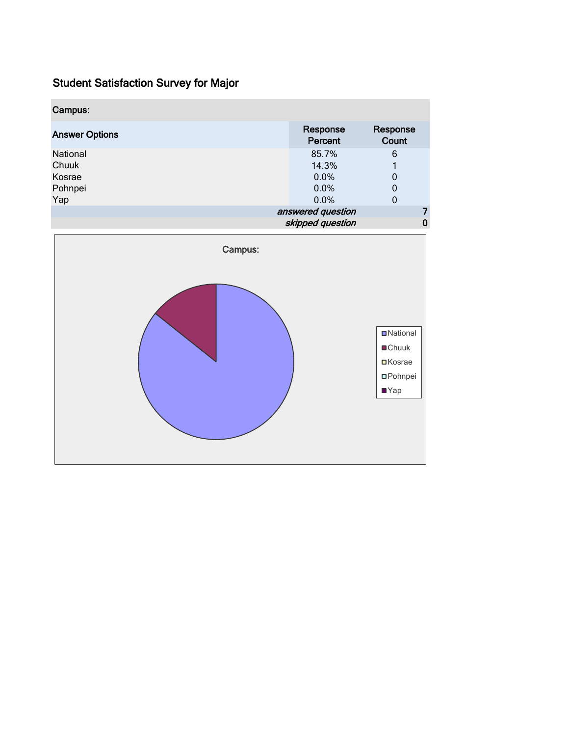| Response<br>Percent | Response<br>Count |  |  |  |
|---------------------|-------------------|--|--|--|
| 85.7%               | 6                 |  |  |  |
| 14.3%               |                   |  |  |  |
| $0.0\%$             | 0                 |  |  |  |
| $0.0\%$             | 0                 |  |  |  |
| 0.0%                | 0                 |  |  |  |
| answered question   |                   |  |  |  |
| skipped question    |                   |  |  |  |
|                     |                   |  |  |  |

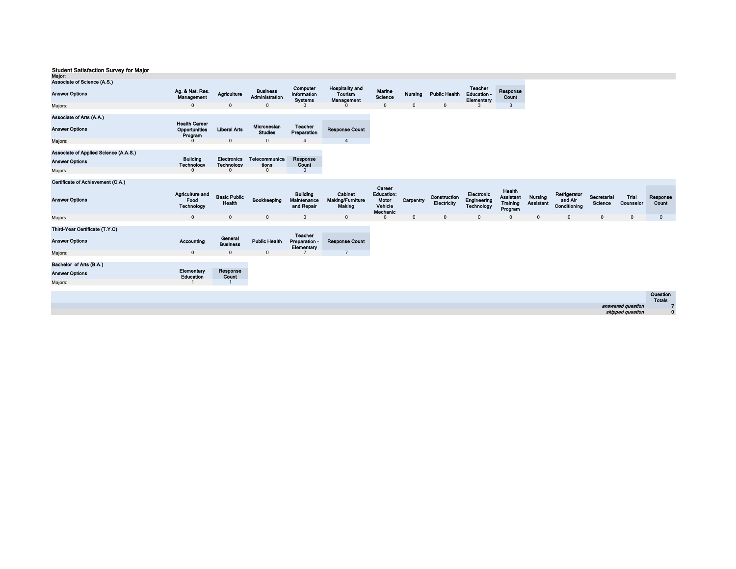| mujvi.                                                         |                                              |                               |                                   |                                               |                                                 |                                                   |              |                             |                                                |                                                   |                                    |                                         |
|----------------------------------------------------------------|----------------------------------------------|-------------------------------|-----------------------------------|-----------------------------------------------|-------------------------------------------------|---------------------------------------------------|--------------|-----------------------------|------------------------------------------------|---------------------------------------------------|------------------------------------|-----------------------------------------|
| Associate of Science (A.S.)                                    |                                              |                               |                                   |                                               |                                                 |                                                   |              |                             |                                                |                                                   |                                    |                                         |
| <b>Answer Options</b>                                          | Ag. & Nat. Res.<br>Management                | Agriculture                   | <b>Business</b><br>Administration | Computer<br>Information<br><b>Systems</b>     | <b>Hospitality and</b><br>Tourism<br>Management | Marine<br>Science                                 | Nursing      | <b>Public Health</b>        | Teacher<br>Education -<br>Elementary           | Response<br>Count                                 |                                    |                                         |
| Majors:                                                        | $\Omega$                                     | $\mathbf 0$                   | $\mathbf 0$                       | $\Omega$                                      | $\Omega$                                        | $\mathbf{0}$                                      | $\mathbf{0}$ | $\mathbf 0$                 | 3                                              | $\mathbf{3}$                                      |                                    |                                         |
| Associate of Arts (A.A.)                                       | <b>Health Career</b>                         |                               |                                   |                                               |                                                 |                                                   |              |                             |                                                |                                                   |                                    |                                         |
| <b>Answer Options</b>                                          | Opportunities<br>Program                     | <b>Liberal Arts</b>           | Micronesian<br><b>Studies</b>     | <b>Teacher</b><br>Preparation                 | <b>Response Count</b>                           |                                                   |              |                             |                                                |                                                   |                                    |                                         |
| Majors:                                                        | $\Omega$                                     | $\mathbf{0}$                  | $\pmb{0}$                         | $\overline{4}$                                | $\overline{4}$                                  |                                                   |              |                             |                                                |                                                   |                                    |                                         |
| Associate of Applied Science (A.A.S.)<br><b>Answer Options</b> | <b>Building</b>                              | <b>Electronics</b>            | Telecommunica                     | Response                                      |                                                 |                                                   |              |                             |                                                |                                                   |                                    |                                         |
|                                                                | Technology                                   | Technology                    | tions                             | Count                                         |                                                 |                                                   |              |                             |                                                |                                                   |                                    |                                         |
| Majors:                                                        | <sup>0</sup>                                 | $\Omega$                      | $\mathbf{0}$                      | $\mathbf{0}$                                  |                                                 |                                                   |              |                             |                                                |                                                   |                                    |                                         |
| Certificate of Achievement (C.A.)                              |                                              |                               |                                   |                                               |                                                 | Career                                            |              |                             |                                                |                                                   |                                    |                                         |
| <b>Answer Options</b>                                          | <b>Agriculture and</b><br>Food<br>Technology | <b>Basic Public</b><br>Health | Bookkeeping                       | <b>Building</b><br>Maintenance<br>and Repair  | Cabinet<br>Making/Furniture<br>Making           | <b>Education:</b><br>Motor<br>Vehicle<br>Mechanic | Carpentry    | Construction<br>Electricity | Electronic<br>Engineering<br><b>Technology</b> | Health<br><b>Assistant</b><br>Training<br>Program | <b>Nursing</b><br><b>Assistant</b> | Refrigerator<br>and Air<br>Conditioning |
| Majors:                                                        | $\mathbf 0$                                  | $\mathsf 0$                   | $\mathsf 0$                       | $\pmb{0}$                                     | $\mathsf 0$                                     | $\Omega$                                          | $\mathbf{0}$ | $\mathbf{0}$                | $\mathbf{0}$                                   | $\mathbf 0$                                       | $\mathsf 0$                        | $\mathsf 0$                             |
|                                                                |                                              |                               |                                   |                                               |                                                 |                                                   |              |                             |                                                |                                                   |                                    |                                         |
| Third-Year Certificate (T.Y.C)                                 |                                              |                               |                                   |                                               |                                                 |                                                   |              |                             |                                                |                                                   |                                    |                                         |
| <b>Answer Options</b>                                          | <b>Accounting</b>                            | General<br><b>Business</b>    | <b>Public Health</b>              | <b>Teacher</b><br>Proparation -<br>Elementary | <b>Response Count</b>                           |                                                   |              |                             |                                                |                                                   |                                    |                                         |
| Majors:                                                        | $\mathbf{0}$                                 | $\mathbf 0$                   | $\mathbf 0$                       | $\overline{7}$                                | $\overline{7}$                                  |                                                   |              |                             |                                                |                                                   |                                    |                                         |
|                                                                |                                              |                               |                                   |                                               |                                                 |                                                   |              |                             |                                                |                                                   |                                    |                                         |
| Bachelor of Arts (B.A.)                                        | Elementary                                   | Response                      |                                   |                                               |                                                 |                                                   |              |                             |                                                |                                                   |                                    |                                         |
| <b>Answer Options</b>                                          | <b>Education</b>                             | Count                         |                                   |                                               |                                                 |                                                   |              |                             |                                                |                                                   |                                    |                                         |
| Majors:                                                        |                                              |                               |                                   |                                               |                                                 |                                                   |              |                             |                                                |                                                   |                                    |                                         |
|                                                                |                                              |                               |                                   |                                               |                                                 |                                                   |              |                             |                                                |                                                   |                                    |                                         |
|                                                                |                                              |                               |                                   |                                               |                                                 |                                                   |              |                             |                                                |                                                   |                                    |                                         |
|                                                                |                                              |                               |                                   |                                               |                                                 |                                                   |              |                             |                                                |                                                   |                                    |                                         |
|                                                                |                                              |                               |                                   |                                               |                                                 |                                                   |              |                             |                                                |                                                   |                                    |                                         |

|                                       | Question      |
|---------------------------------------|---------------|
|                                       | <b>Totals</b> |
| answered question<br>skipped question |               |
|                                       |               |

Secretarial Trial Response<br>Science Counselor Count 0 0 0 0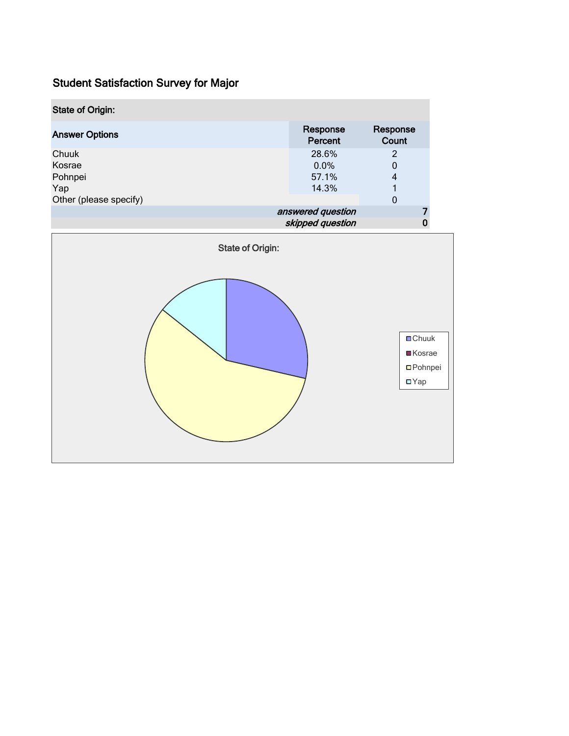| <b>State of Origin:</b> |                     |                   |  |
|-------------------------|---------------------|-------------------|--|
| <b>Answer Options</b>   | Response<br>Percent | Response<br>Count |  |
| Chuuk                   | 28.6%               | $\overline{2}$    |  |
| Kosrae                  | $0.0\%$             | 0                 |  |
| Pohnpei                 | 57.1%               | 4                 |  |
| Yap                     | 14.3%               |                   |  |
| Other (please specify)  |                     | 0                 |  |
|                         | answered question   |                   |  |
| skipped question        |                     |                   |  |